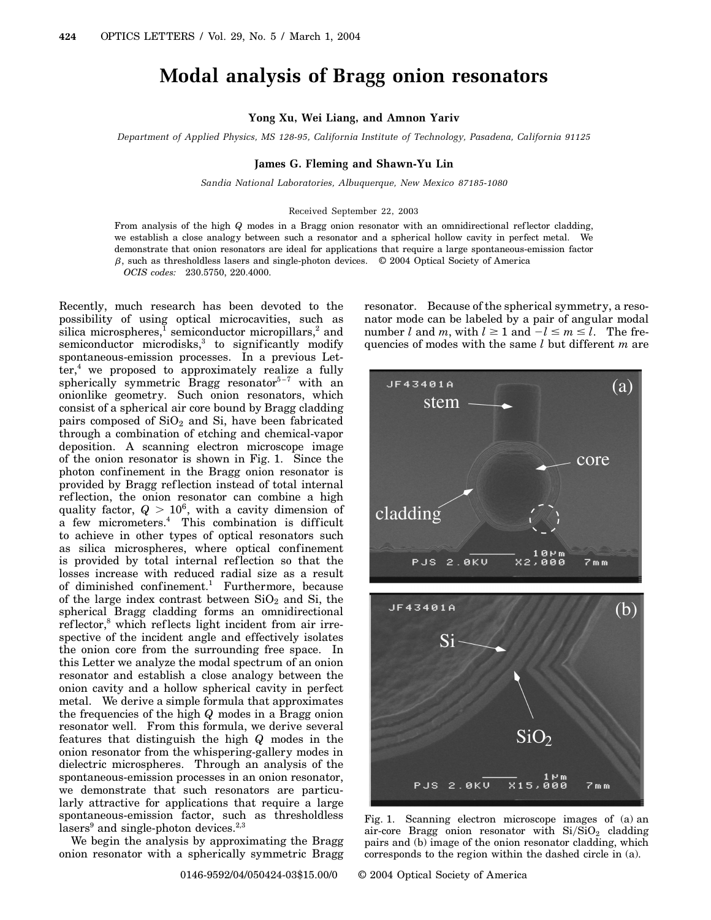# **Modal analysis of Bragg onion resonators**

## **Yong Xu, Wei Liang, and Amnon Yariv**

*Department of Applied Physics, MS 128-95, California Institute of Technology, Pasadena, California 91125*

## **James G. Fleming and Shawn-Yu Lin**

*Sandia National Laboratories, Albuquerque, New Mexico 87185-1080*

## Received September 22, 2003

From analysis of the high *Q* modes in a Bragg onion resonator with an omnidirectional reflector cladding, we establish a close analogy between such a resonator and a spherical hollow cavity in perfect metal. We demonstrate that onion resonators are ideal for applications that require a large spontaneous-emission factor  $\beta$ , such as thresholdless lasers and single-photon devices.  $\degree$  2004 Optical Society of America *OCIS codes:* 230.5750, 220.4000.

Recently, much research has been devoted to the possibility of using optical microcavities, such as silica microspheres, $\frac{1}{2}$  semiconductor micropillars,<sup>2</sup> and semiconductor microdisks,<sup>3</sup> to significantly modify spontaneous-emission processes. In a previous Let $ter<sup>4</sup>$ , we proposed to approximately realize a fully spherically symmetric Bragg resonator<sup>5-7</sup> with an onionlike geometry. Such onion resonators, which consist of a spherical air core bound by Bragg cladding pairs composed of  $SiO<sub>2</sub>$  and  $Si$ , have been fabricated through a combination of etching and chemical-vapor deposition. A scanning electron microscope image of the onion resonator is shown in Fig. 1. Since the photon confinement in the Bragg onion resonator is provided by Bragg ref lection instead of total internal reflection, the onion resonator can combine a high quality factor,  $Q > 10^6$ , with a cavity dimension of a few micrometers.<sup>4</sup> This combination is difficult to achieve in other types of optical resonators such as silica microspheres, where optical confinement is provided by total internal reflection so that the losses increase with reduced radial size as a result of diminished confinement.<sup>1</sup> Furthermore, because of the large index contrast between  $SiO<sub>2</sub>$  and Si, the spherical Bragg cladding forms an omnidirectional reflector,<sup>8</sup> which reflects light incident from air irrespective of the incident angle and effectively isolates the onion core from the surrounding free space. In this Letter we analyze the modal spectrum of an onion resonator and establish a close analogy between the onion cavity and a hollow spherical cavity in perfect metal. We derive a simple formula that approximates the frequencies of the high *Q* modes in a Bragg onion resonator well. From this formula, we derive several features that distinguish the high *Q* modes in the onion resonator from the whispering-gallery modes in dielectric microspheres. Through an analysis of the spontaneous-emission processes in an onion resonator, we demonstrate that such resonators are particularly attractive for applications that require a large spontaneous-emission factor, such as thresholdless lasers<sup>9</sup> and single-photon devices.<sup>2,3</sup>

We begin the analysis by approximating the Bragg onion resonator with a spherically symmetric Bragg resonator. Because of the spherical symmetry, a resonator mode can be labeled by a pair of angular modal number *l* and *m*, with  $l \ge 1$  and  $-l \le m \le l$ . The frequencies of modes with the same *l* but different *m* are



Fig. 1. Scanning electron microscope images of (a) an air-core Bragg onion resonator with  $Si/SiO<sub>2</sub>$  cladding pairs and (b) image of the onion resonator cladding, which corresponds to the region within the dashed circle in (a).

0146-9592/04/050424-03\$15.00/0 © 2004 Optical Society of America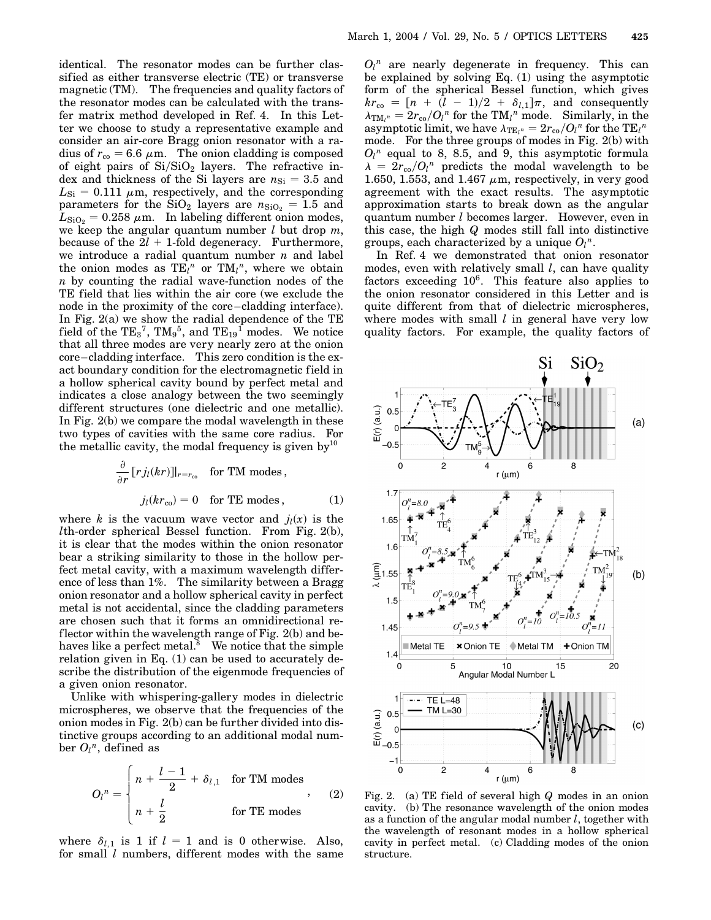identical. The resonator modes can be further classified as either transverse electric (TE) or transverse magnetic (TM). The frequencies and quality factors of the resonator modes can be calculated with the transfer matrix method developed in Ref. 4. In this Letter we choose to study a representative example and consider an air-core Bragg onion resonator with a radius of  $r_{\rm co} = 6.6 \ \mu \text{m}$ . The onion cladding is composed of eight pairs of  $Si/SiO<sub>2</sub>$  layers. The refractive index and thickness of the Si layers are  $n_{\text{Si}} = 3.5$  and  $L_{\text{Si}} = 0.111 \mu \text{m}$ , respectively, and the corresponding parameters for the  $SiO<sub>2</sub>$  layers are  $n_{SiO<sub>2</sub>} = 1.5$  and  $L_{\text{SiO}_2} = 0.258 \ \mu \text{m}$ . In labeling different onion modes, we keep the angular quantum number *l* but drop *m*, because of the  $2l + 1$ -fold degeneracy. Furthermore, we introduce a radial quantum number *n* and label the onion modes as  $TE_l^n$  or  $TM_l^n$ , where we obtain *n* by counting the radial wave-function nodes of the TE field that lies within the air core (we exclude the node in the proximity of the core–cladding interface). In Fig. 2(a) we show the radial dependence of the TE field of the  $\text{TE}_3{}^7$ ,  $\text{TM}_9{}^5$ , and  $\text{TE}_{19}{}^1$  modes. We notice that all three modes are very nearly zero at the onion core–cladding interface. This zero condition is the exact boundary condition for the electromagnetic field in a hollow spherical cavity bound by perfect metal and indicates a close analogy between the two seemingly different structures (one dielectric and one metallic). In Fig. 2(b) we compare the modal wavelength in these two types of cavities with the same core radius. For the metallic cavity, the modal frequency is given by $10$ 

$$
\frac{\partial}{\partial r} [r j_l(kr)]|_{r=r_{\infty}} \quad \text{for TM modes,}
$$

$$
j_l(kr_{\infty}) = 0 \quad \text{for TE modes,} \tag{1}
$$

where *k* is the vacuum wave vector and  $j_l(x)$  is the *l*th-order spherical Bessel function. From Fig. 2(b), it is clear that the modes within the onion resonator bear a striking similarity to those in the hollow perfect metal cavity, with a maximum wavelength difference of less than 1%. The similarity between a Bragg onion resonator and a hollow spherical cavity in perfect metal is not accidental, since the cladding parameters are chosen such that it forms an omnidirectional reflector within the wavelength range of Fig. 2(b) and behaves like a perfect metal. $8$  We notice that the simple relation given in Eq. (1) can be used to accurately describe the distribution of the eigenmode frequencies of a given onion resonator.

Unlike with whispering-gallery modes in dielectric microspheres, we observe that the frequencies of the onion modes in Fig. 2(b) can be further divided into distinctive groups according to an additional modal number  $O_l^n$ , defined as

$$
O_l^n = \begin{cases} n + \frac{l-1}{2} + \delta_{l,1} & \text{for TM modes} \\ n + \frac{l}{2} & \text{for TE modes} \end{cases}
$$
 (2)

where  $\delta_{l,1}$  is 1 if  $l = 1$  and is 0 otherwise. Also, for small *l* numbers, different modes with the same

 $O_l^n$  are nearly degenerate in frequency. This can be explained by solving Eq. (1) using the asymptotic form of the spherical Bessel function, which gives  $kr_{\text{co}} = \left[ n + (l - 1)/2 + \delta_{l,1} \right] \pi$ , and consequently  $\lambda_{\text{TM}_l^n} = 2r_{\text{co}}/O_l^n$  for the TM<sub>l</sub><sup>n</sup> mode. Similarly, in the  $\alpha_{\text{TE}_l n} = 2r_{\text{co}}/O_l^n$  for the  $\text{TE}_l^n$ mode. For the three groups of modes in Fig. 2(b) with  $O_l^n$  equal to 8, 8.5, and 9, this asymptotic formula  $\lambda = 2r_{\rm co}/Q_l^n$  predicts the modal wavelength to be 1.650, 1.553, and 1.467  $\mu$ m, respectively, in very good agreement with the exact results. The asymptotic approximation starts to break down as the angular quantum number *l* becomes larger. However, even in this case, the high *Q* modes still fall into distinctive groups, each characterized by a unique  $O_l^n$ .

In Ref. 4 we demonstrated that onion resonator modes, even with relatively small *l*, can have quality factors exceeding  $10^6$ . This feature also applies to the onion resonator considered in this Letter and is quite different from that of dielectric microspheres, where modes with small *l* in general have very low quality factors. For example, the quality factors of



Fig. 2. (a) TE field of several high *Q* modes in an onion cavity. (b) The resonance wavelength of the onion modes as a function of the angular modal number *l*, together with the wavelength of resonant modes in a hollow spherical cavity in perfect metal. (c) Cladding modes of the onion structure.